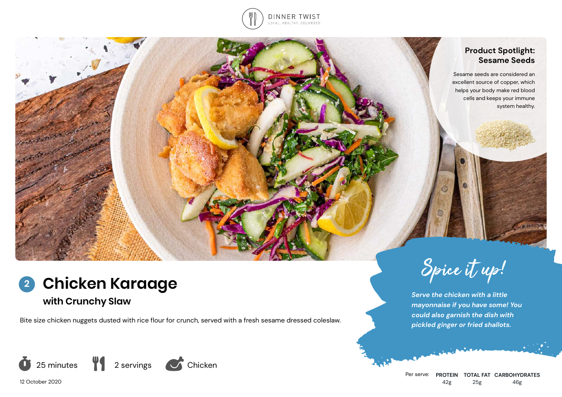

### **Product Spotlight: Sesame Seeds**

Sesame seeds are considered an excellent source of copper, which helps your body make red blood cells and keeps your immune system healthy.

# **Chicken Karaage 2**

# **with Crunchy Slaw**

Bite size chicken nuggets dusted with rice flour for crunch, served with a fresh sesame dressed coleslaw.



12 October 2020



*Serve the chicken with a little mayonnaise if you have some! You could also garnish the dish with pickled ginger or fried shallots.*